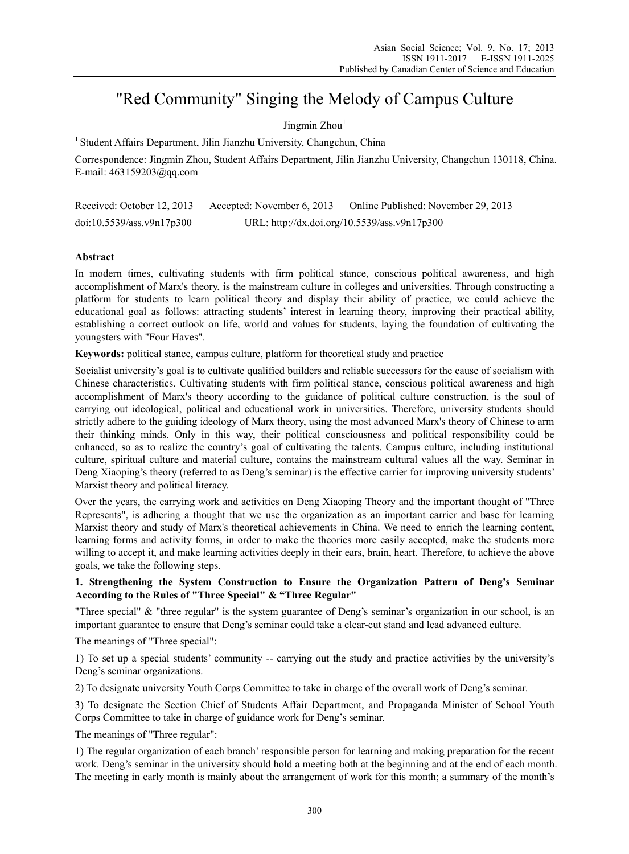# "Red Community" Singing the Melody of Campus Culture

Jingmin  $Zhou<sup>1</sup>$ 

<sup>1</sup> Student Affairs Department, Jilin Jianzhu University, Changchun, China

Correspondence: Jingmin Zhou, Student Affairs Department, Jilin Jianzhu University, Changchun 130118, China. E-mail: 463159203@qq.com

| Received: October 12, 2013 | Accepted: November 6, 2013                   | Online Published: November 29, 2013 |
|----------------------------|----------------------------------------------|-------------------------------------|
| doi:10.5539/ass.v9n17p300  | URL: http://dx.doi.org/10.5539/ass.v9n17p300 |                                     |

# **Abstract**

In modern times, cultivating students with firm political stance, conscious political awareness, and high accomplishment of Marx's theory, is the mainstream culture in colleges and universities. Through constructing a platform for students to learn political theory and display their ability of practice, we could achieve the educational goal as follows: attracting students' interest in learning theory, improving their practical ability, establishing a correct outlook on life, world and values for students, laying the foundation of cultivating the youngsters with "Four Haves".

**Keywords:** political stance, campus culture, platform for theoretical study and practice

Socialist university's goal is to cultivate qualified builders and reliable successors for the cause of socialism with Chinese characteristics. Cultivating students with firm political stance, conscious political awareness and high accomplishment of Marx's theory according to the guidance of political culture construction, is the soul of carrying out ideological, political and educational work in universities. Therefore, university students should strictly adhere to the guiding ideology of Marx theory, using the most advanced Marx's theory of Chinese to arm their thinking minds. Only in this way, their political consciousness and political responsibility could be enhanced, so as to realize the country's goal of cultivating the talents. Campus culture, including institutional culture, spiritual culture and material culture, contains the mainstream cultural values all the way. Seminar in Deng Xiaoping's theory (referred to as Deng's seminar) is the effective carrier for improving university students' Marxist theory and political literacy.

Over the years, the carrying work and activities on Deng Xiaoping Theory and the important thought of "Three Represents", is adhering a thought that we use the organization as an important carrier and base for learning Marxist theory and study of Marx's theoretical achievements in China. We need to enrich the learning content, learning forms and activity forms, in order to make the theories more easily accepted, make the students more willing to accept it, and make learning activities deeply in their ears, brain, heart. Therefore, to achieve the above goals, we take the following steps.

# **1. Strengthening the System Construction to Ensure the Organization Pattern of Deng's Seminar According to the Rules of "Three Special" & "Three Regular"**

"Three special" & "three regular" is the system guarantee of Deng's seminar's organization in our school, is an important guarantee to ensure that Deng's seminar could take a clear-cut stand and lead advanced culture.

The meanings of "Three special":

1) To set up a special students' community -- carrying out the study and practice activities by the university's Deng's seminar organizations.

2) To designate university Youth Corps Committee to take in charge of the overall work of Deng's seminar.

3) To designate the Section Chief of Students Affair Department, and Propaganda Minister of School Youth Corps Committee to take in charge of guidance work for Deng's seminar.

The meanings of "Three regular":

1) The regular organization of each branch' responsible person for learning and making preparation for the recent work. Deng's seminar in the university should hold a meeting both at the beginning and at the end of each month. The meeting in early month is mainly about the arrangement of work for this month; a summary of the month's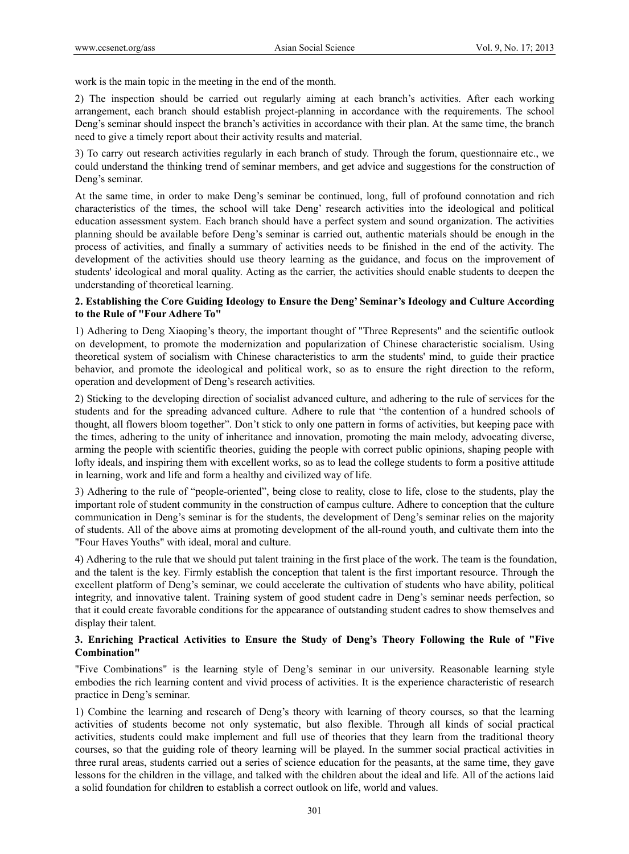work is the main topic in the meeting in the end of the month.

2) The inspection should be carried out regularly aiming at each branch's activities. After each working arrangement, each branch should establish project-planning in accordance with the requirements. The school Deng's seminar should inspect the branch's activities in accordance with their plan. At the same time, the branch need to give a timely report about their activity results and material.

3) To carry out research activities regularly in each branch of study. Through the forum, questionnaire etc., we could understand the thinking trend of seminar members, and get advice and suggestions for the construction of Deng's seminar.

At the same time, in order to make Deng's seminar be continued, long, full of profound connotation and rich characteristics of the times, the school will take Deng' research activities into the ideological and political education assessment system. Each branch should have a perfect system and sound organization. The activities planning should be available before Deng's seminar is carried out, authentic materials should be enough in the process of activities, and finally a summary of activities needs to be finished in the end of the activity. The development of the activities should use theory learning as the guidance, and focus on the improvement of students' ideological and moral quality. Acting as the carrier, the activities should enable students to deepen the understanding of theoretical learning.

## **2. Establishing the Core Guiding Ideology to Ensure the Deng' Seminar's Ideology and Culture According to the Rule of "Four Adhere To"**

1) Adhering to Deng Xiaoping's theory, the important thought of "Three Represents" and the scientific outlook on development, to promote the modernization and popularization of Chinese characteristic socialism. Using theoretical system of socialism with Chinese characteristics to arm the students' mind, to guide their practice behavior, and promote the ideological and political work, so as to ensure the right direction to the reform, operation and development of Deng's research activities.

2) Sticking to the developing direction of socialist advanced culture, and adhering to the rule of services for the students and for the spreading advanced culture. Adhere to rule that "the contention of a hundred schools of thought, all flowers bloom together". Don't stick to only one pattern in forms of activities, but keeping pace with the times, adhering to the unity of inheritance and innovation, promoting the main melody, advocating diverse, arming the people with scientific theories, guiding the people with correct public opinions, shaping people with lofty ideals, and inspiring them with excellent works, so as to lead the college students to form a positive attitude in learning, work and life and form a healthy and civilized way of life.

3) Adhering to the rule of "people-oriented", being close to reality, close to life, close to the students, play the important role of student community in the construction of campus culture. Adhere to conception that the culture communication in Deng's seminar is for the students, the development of Deng's seminar relies on the majority of students. All of the above aims at promoting development of the all-round youth, and cultivate them into the "Four Haves Youths" with ideal, moral and culture.

4) Adhering to the rule that we should put talent training in the first place of the work. The team is the foundation, and the talent is the key. Firmly establish the conception that talent is the first important resource. Through the excellent platform of Deng's seminar, we could accelerate the cultivation of students who have ability, political integrity, and innovative talent. Training system of good student cadre in Deng's seminar needs perfection, so that it could create favorable conditions for the appearance of outstanding student cadres to show themselves and display their talent.

## **3. Enriching Practical Activities to Ensure the Study of Deng's Theory Following the Rule of "Five Combination"**

"Five Combinations" is the learning style of Deng's seminar in our university. Reasonable learning style embodies the rich learning content and vivid process of activities. It is the experience characteristic of research practice in Deng's seminar.

1) Combine the learning and research of Deng's theory with learning of theory courses, so that the learning activities of students become not only systematic, but also flexible. Through all kinds of social practical activities, students could make implement and full use of theories that they learn from the traditional theory courses, so that the guiding role of theory learning will be played. In the summer social practical activities in three rural areas, students carried out a series of science education for the peasants, at the same time, they gave lessons for the children in the village, and talked with the children about the ideal and life. All of the actions laid a solid foundation for children to establish a correct outlook on life, world and values.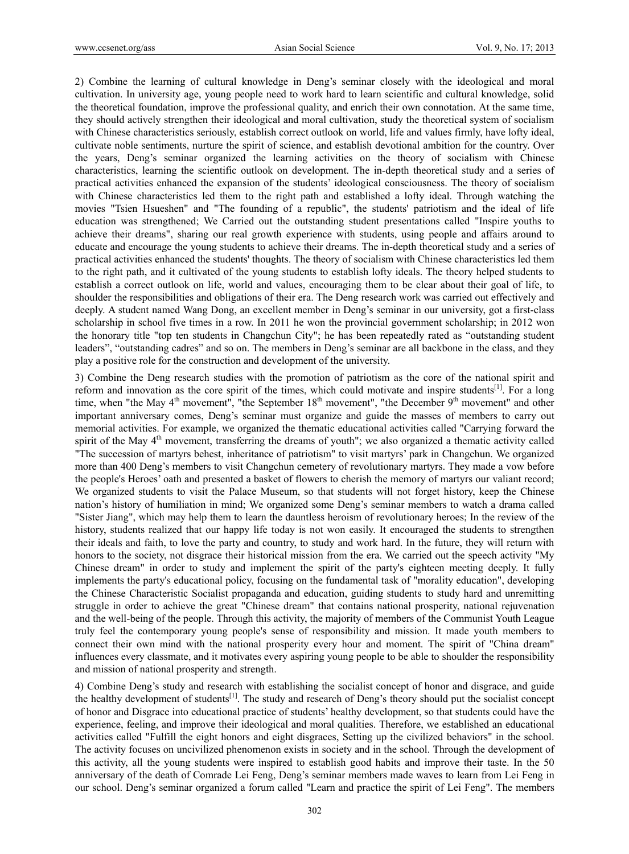2) Combine the learning of cultural knowledge in Deng's seminar closely with the ideological and moral cultivation. In university age, young people need to work hard to learn scientific and cultural knowledge, solid the theoretical foundation, improve the professional quality, and enrich their own connotation. At the same time, they should actively strengthen their ideological and moral cultivation, study the theoretical system of socialism with Chinese characteristics seriously, establish correct outlook on world, life and values firmly, have lofty ideal, cultivate noble sentiments, nurture the spirit of science, and establish devotional ambition for the country. Over the years, Deng's seminar organized the learning activities on the theory of socialism with Chinese characteristics, learning the scientific outlook on development. The in-depth theoretical study and a series of practical activities enhanced the expansion of the students' ideological consciousness. The theory of socialism with Chinese characteristics led them to the right path and established a lofty ideal. Through watching the movies "Tsien Hsueshen" and "The founding of a republic", the students' patriotism and the ideal of life education was strengthened; We Carried out the outstanding student presentations called "Inspire youths to achieve their dreams", sharing our real growth experience with students, using people and affairs around to educate and encourage the young students to achieve their dreams. The in-depth theoretical study and a series of practical activities enhanced the students' thoughts. The theory of socialism with Chinese characteristics led them to the right path, and it cultivated of the young students to establish lofty ideals. The theory helped students to establish a correct outlook on life, world and values, encouraging them to be clear about their goal of life, to shoulder the responsibilities and obligations of their era. The Deng research work was carried out effectively and deeply. A student named Wang Dong, an excellent member in Deng's seminar in our university, got a first-class scholarship in school five times in a row. In 2011 he won the provincial government scholarship; in 2012 won the honorary title "top ten students in Changchun City"; he has been repeatedly rated as "outstanding student leaders", "outstanding cadres" and so on. The members in Deng's seminar are all backbone in the class, and they play a positive role for the construction and development of the university.

3) Combine the Deng research studies with the promotion of patriotism as the core of the national spirit and reform and innovation as the core spirit of the times, which could motivate and inspire students $[1]$ . For a long time, when "the May  $4<sup>th</sup>$  movement", "the September  $18<sup>th</sup>$  movement", "the December  $9<sup>th</sup>$  movement" and other important anniversary comes, Deng's seminar must organize and guide the masses of members to carry out memorial activities. For example, we organized the thematic educational activities called "Carrying forward the spirit of the May 4<sup>th</sup> movement, transferring the dreams of youth"; we also organized a thematic activity called "The succession of martyrs behest, inheritance of patriotism" to visit martyrs' park in Changchun. We organized more than 400 Deng's members to visit Changchun cemetery of revolutionary martyrs. They made a vow before the people's Heroes' oath and presented a basket of flowers to cherish the memory of martyrs our valiant record; We organized students to visit the Palace Museum, so that students will not forget history, keep the Chinese nation's history of humiliation in mind; We organized some Deng's seminar members to watch a drama called "Sister Jiang", which may help them to learn the dauntless heroism of revolutionary heroes; In the review of the history, students realized that our happy life today is not won easily. It encouraged the students to strengthen their ideals and faith, to love the party and country, to study and work hard. In the future, they will return with honors to the society, not disgrace their historical mission from the era. We carried out the speech activity "My Chinese dream" in order to study and implement the spirit of the party's eighteen meeting deeply. It fully implements the party's educational policy, focusing on the fundamental task of "morality education", developing the Chinese Characteristic Socialist propaganda and education, guiding students to study hard and unremitting struggle in order to achieve the great "Chinese dream" that contains national prosperity, national rejuvenation and the well-being of the people. Through this activity, the majority of members of the Communist Youth League truly feel the contemporary young people's sense of responsibility and mission. It made youth members to connect their own mind with the national prosperity every hour and moment. The spirit of "China dream" influences every classmate, and it motivates every aspiring young people to be able to shoulder the responsibility and mission of national prosperity and strength.

4) Combine Deng's study and research with establishing the socialist concept of honor and disgrace, and guide the healthy development of students<sup>[1]</sup>. The study and research of Deng's theory should put the socialist concept of honor and Disgrace into educational practice of students' healthy development, so that students could have the experience, feeling, and improve their ideological and moral qualities. Therefore, we established an educational activities called "Fulfill the eight honors and eight disgraces, Setting up the civilized behaviors" in the school. The activity focuses on uncivilized phenomenon exists in society and in the school. Through the development of this activity, all the young students were inspired to establish good habits and improve their taste. In the 50 anniversary of the death of Comrade Lei Feng, Deng's seminar members made waves to learn from Lei Feng in our school. Deng's seminar organized a forum called "Learn and practice the spirit of Lei Feng". The members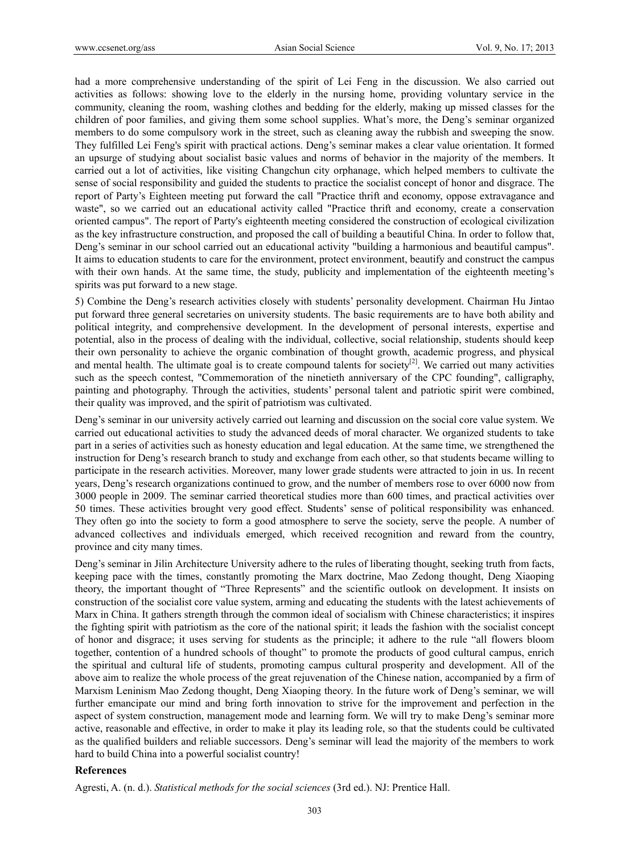had a more comprehensive understanding of the spirit of Lei Feng in the discussion. We also carried out activities as follows: showing love to the elderly in the nursing home, providing voluntary service in the community, cleaning the room, washing clothes and bedding for the elderly, making up missed classes for the children of poor families, and giving them some school supplies. What's more, the Deng's seminar organized members to do some compulsory work in the street, such as cleaning away the rubbish and sweeping the snow. They fulfilled Lei Feng's spirit with practical actions. Deng's seminar makes a clear value orientation. It formed an upsurge of studying about socialist basic values and norms of behavior in the majority of the members. It carried out a lot of activities, like visiting Changchun city orphanage, which helped members to cultivate the sense of social responsibility and guided the students to practice the socialist concept of honor and disgrace. The report of Party's Eighteen meeting put forward the call "Practice thrift and economy, oppose extravagance and waste", so we carried out an educational activity called "Practice thrift and economy, create a conservation oriented campus". The report of Party's eighteenth meeting considered the construction of ecological civilization as the key infrastructure construction, and proposed the call of building a beautiful China. In order to follow that, Deng's seminar in our school carried out an educational activity "building a harmonious and beautiful campus". It aims to education students to care for the environment, protect environment, beautify and construct the campus with their own hands. At the same time, the study, publicity and implementation of the eighteenth meeting's spirits was put forward to a new stage.

5) Combine the Deng's research activities closely with students' personality development. Chairman Hu Jintao put forward three general secretaries on university students. The basic requirements are to have both ability and political integrity, and comprehensive development. In the development of personal interests, expertise and potential, also in the process of dealing with the individual, collective, social relationship, students should keep their own personality to achieve the organic combination of thought growth, academic progress, and physical and mental health. The ultimate goal is to create compound talents for society<sup>[2]</sup>. We carried out many activities such as the speech contest, "Commemoration of the ninetieth anniversary of the CPC founding", calligraphy, painting and photography. Through the activities, students' personal talent and patriotic spirit were combined, their quality was improved, and the spirit of patriotism was cultivated.

Deng's seminar in our university actively carried out learning and discussion on the social core value system. We carried out educational activities to study the advanced deeds of moral character. We organized students to take part in a series of activities such as honesty education and legal education. At the same time, we strengthened the instruction for Deng's research branch to study and exchange from each other, so that students became willing to participate in the research activities. Moreover, many lower grade students were attracted to join in us. In recent years, Deng's research organizations continued to grow, and the number of members rose to over 6000 now from 3000 people in 2009. The seminar carried theoretical studies more than 600 times, and practical activities over 50 times. These activities brought very good effect. Students' sense of political responsibility was enhanced. They often go into the society to form a good atmosphere to serve the society, serve the people. A number of advanced collectives and individuals emerged, which received recognition and reward from the country, province and city many times.

Deng's seminar in Jilin Architecture University adhere to the rules of liberating thought, seeking truth from facts, keeping pace with the times, constantly promoting the Marx doctrine, Mao Zedong thought, Deng Xiaoping theory, the important thought of "Three Represents" and the scientific outlook on development. It insists on construction of the socialist core value system, arming and educating the students with the latest achievements of Marx in China. It gathers strength through the common ideal of socialism with Chinese characteristics; it inspires the fighting spirit with patriotism as the core of the national spirit; it leads the fashion with the socialist concept of honor and disgrace; it uses serving for students as the principle; it adhere to the rule "all flowers bloom together, contention of a hundred schools of thought" to promote the products of good cultural campus, enrich the spiritual and cultural life of students, promoting campus cultural prosperity and development. All of the above aim to realize the whole process of the great rejuvenation of the Chinese nation, accompanied by a firm of Marxism Leninism Mao Zedong thought, Deng Xiaoping theory. In the future work of Deng's seminar, we will further emancipate our mind and bring forth innovation to strive for the improvement and perfection in the aspect of system construction, management mode and learning form. We will try to make Deng's seminar more active, reasonable and effective, in order to make it play its leading role, so that the students could be cultivated as the qualified builders and reliable successors. Deng's seminar will lead the majority of the members to work hard to build China into a powerful socialist country!

### **References**

Agresti, A. (n. d.). *Statistical methods for the social sciences* (3rd ed.). NJ: Prentice Hall.